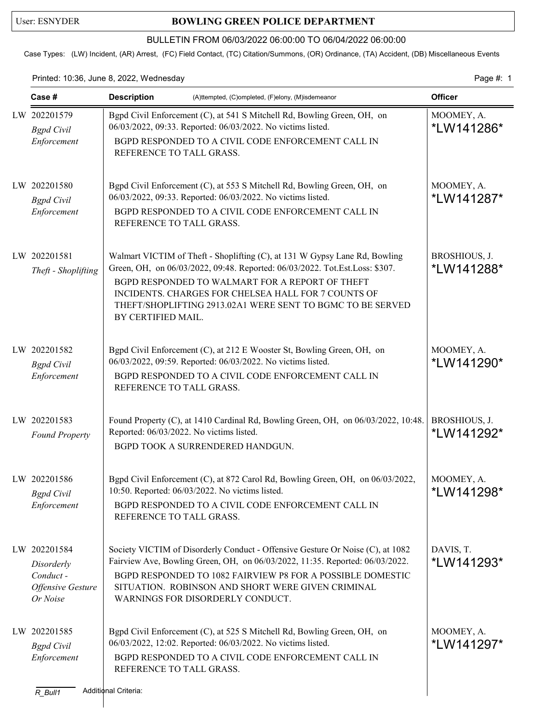## User: ESNYDER **BOWLING GREEN POLICE DEPARTMENT**

## BULLETIN FROM 06/03/2022 06:00:00 TO 06/04/2022 06:00:00

Case Types: (LW) Incident, (AR) Arrest, (FC) Field Contact, (TC) Citation/Summons, (OR) Ordinance, (TA) Accident, (DB) Miscellaneous Events

Printed: 10:36, June 8, 2022, Wednesday extending the state of the page 4: 1

| Case #                                                                  | <b>Description</b>                                                           | (A)ttempted, (C)ompleted, (F)elony, (M)isdemeanor                                                                                                                                                                                                                                                                                 | <b>Officer</b>                      |
|-------------------------------------------------------------------------|------------------------------------------------------------------------------|-----------------------------------------------------------------------------------------------------------------------------------------------------------------------------------------------------------------------------------------------------------------------------------------------------------------------------------|-------------------------------------|
| LW 202201579<br><b>Bgpd</b> Civil<br>Enforcement                        |                                                                              | Bgpd Civil Enforcement (C), at 541 S Mitchell Rd, Bowling Green, OH, on<br>06/03/2022, 09:33. Reported: 06/03/2022. No victims listed.<br>BGPD RESPONDED TO A CIVIL CODE ENFORCEMENT CALL IN<br>REFERENCE TO TALL GRASS.                                                                                                          |                                     |
| LW 202201580<br><b>Bgpd</b> Civil<br>Enforcement                        |                                                                              | Bgpd Civil Enforcement (C), at 553 S Mitchell Rd, Bowling Green, OH, on<br>MOOMEY, A.<br>06/03/2022, 09:33. Reported: 06/03/2022. No victims listed.<br>*LW141287*<br>BGPD RESPONDED TO A CIVIL CODE ENFORCEMENT CALL IN<br>REFERENCE TO TALL GRASS.                                                                              |                                     |
| LW 202201581<br>Theft - Shoplifting                                     | BY CERTIFIED MAIL.                                                           | Walmart VICTIM of Theft - Shoplifting (C), at 131 W Gypsy Lane Rd, Bowling<br>Green, OH, on 06/03/2022, 09:48. Reported: 06/03/2022. Tot.Est.Loss: \$307.<br>BGPD RESPONDED TO WALMART FOR A REPORT OF THEFT<br>INCIDENTS. CHARGES FOR CHELSEA HALL FOR 7 COUNTS OF<br>THEFT/SHOPLIFTING 2913.02A1 WERE SENT TO BGMC TO BE SERVED | BROSHIOUS, J.<br><i>*</i> LW141288* |
| LW 202201582<br><b>Bgpd</b> Civil<br>Enforcement                        | REFERENCE TO TALL GRASS.                                                     | Bgpd Civil Enforcement (C), at 212 E Wooster St, Bowling Green, OH, on<br>06/03/2022, 09:59. Reported: 06/03/2022. No victims listed.<br>BGPD RESPONDED TO A CIVIL CODE ENFORCEMENT CALL IN                                                                                                                                       | MOOMEY, A.<br>*LW141290*            |
| LW 202201583<br><b>Found Property</b>                                   | Reported: 06/03/2022. No victims listed.<br>BGPD TOOK A SURRENDERED HANDGUN. | Found Property (C), at 1410 Cardinal Rd, Bowling Green, OH, on 06/03/2022, 10:48.                                                                                                                                                                                                                                                 | BROSHIOUS, J.<br>*LW141292*         |
| LW 202201586<br><b>Bgpd</b> Civil<br>Enforcement                        | 10:50. Reported: 06/03/2022. No victims listed.<br>REFERENCE TO TALL GRASS.  | Bgpd Civil Enforcement (C), at 872 Carol Rd, Bowling Green, OH, on 06/03/2022,<br>BGPD RESPONDED TO A CIVIL CODE ENFORCEMENT CALL IN                                                                                                                                                                                              | MOOMEY, A.<br>*LW141298*            |
| LW 202201584<br>Disorderly<br>Conduct-<br>Offensive Gesture<br>Or Noise | WARNINGS FOR DISORDERLY CONDUCT.                                             | Society VICTIM of Disorderly Conduct - Offensive Gesture Or Noise (C), at 1082<br>Fairview Ave, Bowling Green, OH, on 06/03/2022, 11:35. Reported: 06/03/2022.<br>BGPD RESPONDED TO 1082 FAIRVIEW P8 FOR A POSSIBLE DOMESTIC<br>SITUATION. ROBINSON AND SHORT WERE GIVEN CRIMINAL                                                 | DAVIS, T.<br>*LW141293*             |
| LW 202201585<br><b>Bgpd</b> Civil<br>Enforcement<br>$R_B$ ull1          | REFERENCE TO TALL GRASS.<br>Additional Criteria:                             | Bgpd Civil Enforcement (C), at 525 S Mitchell Rd, Bowling Green, OH, on<br>06/03/2022, 12:02. Reported: 06/03/2022. No victims listed.<br>BGPD RESPONDED TO A CIVIL CODE ENFORCEMENT CALL IN                                                                                                                                      | MOOMEY, A.<br>*LW141297*            |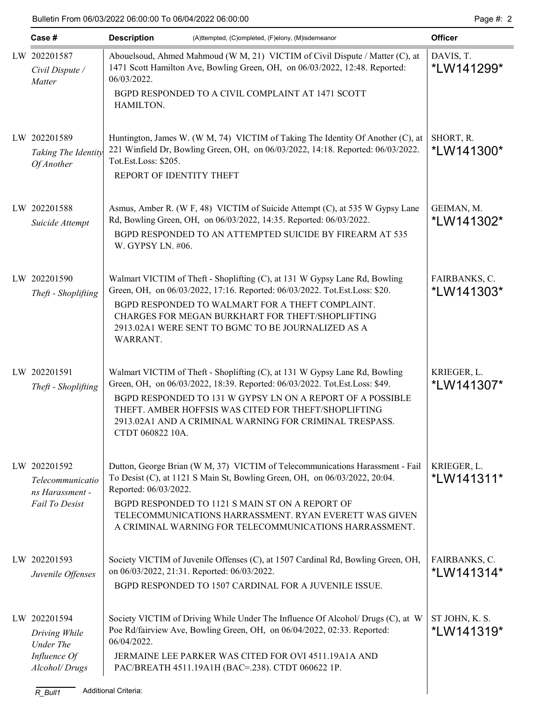| Case #                                                                                    | <b>Description</b><br>(A)ttempted, (C)ompleted, (F)elony, (M)isdemeanor                                                                                                                                                |                                                                                                                                                                                                                                                                                                                                           | <b>Officer</b>               |
|-------------------------------------------------------------------------------------------|------------------------------------------------------------------------------------------------------------------------------------------------------------------------------------------------------------------------|-------------------------------------------------------------------------------------------------------------------------------------------------------------------------------------------------------------------------------------------------------------------------------------------------------------------------------------------|------------------------------|
| LW 202201587<br>Civil Dispute /<br>Matter                                                 | 06/03/2022.<br>HAMILTON.                                                                                                                                                                                               | Abouelsoud, Ahmed Mahmoud (W M, 21) VICTIM of Civil Dispute / Matter (C), at<br>1471 Scott Hamilton Ave, Bowling Green, OH, on 06/03/2022, 12:48. Reported:<br>BGPD RESPONDED TO A CIVIL COMPLAINT AT 1471 SCOTT                                                                                                                          |                              |
| LW 202201589<br>Taking The Identity<br>Of Another                                         | Huntington, James W. (W M, 74) VICTIM of Taking The Identity Of Another (C), at<br>221 Winfield Dr, Bowling Green, OH, on 06/03/2022, 14:18. Reported: 06/03/2022.<br>Tot.Est.Loss: \$205.<br>REPORT OF IDENTITY THEFT |                                                                                                                                                                                                                                                                                                                                           | SHORT, R.<br>*LW141300*      |
| LW 202201588<br>Suicide Attempt                                                           | W. GYPSY LN. #06.                                                                                                                                                                                                      | Asmus, Amber R. (W F, 48) VICTIM of Suicide Attempt (C), at 535 W Gypsy Lane<br>Rd, Bowling Green, OH, on 06/03/2022, 14:35. Reported: 06/03/2022.<br>BGPD RESPONDED TO AN ATTEMPTED SUICIDE BY FIREARM AT 535                                                                                                                            | GEIMAN, M.<br>*LW141302*     |
| LW 202201590<br>Theft - Shoplifting                                                       | WARRANT.                                                                                                                                                                                                               | Walmart VICTIM of Theft - Shoplifting (C), at 131 W Gypsy Lane Rd, Bowling<br>Green, OH, on 06/03/2022, 17:16. Reported: 06/03/2022. Tot.Est.Loss: \$20.<br>BGPD RESPONDED TO WALMART FOR A THEFT COMPLAINT.<br>CHARGES FOR MEGAN BURKHART FOR THEFT/SHOPLIFTING<br>2913.02A1 WERE SENT TO BGMC TO BE JOURNALIZED AS A                    | FAIRBANKS, C.<br>*LW141303*  |
| LW 202201591<br>Theft - Shoplifting                                                       | CTDT 060822 10A.                                                                                                                                                                                                       | Walmart VICTIM of Theft - Shoplifting (C), at 131 W Gypsy Lane Rd, Bowling<br>Green, OH, on 06/03/2022, 18:39. Reported: 06/03/2022. Tot.Est.Loss: \$49.<br>BGPD RESPONDED TO 131 W GYPSY LN ON A REPORT OF A POSSIBLE<br>THEFT. AMBER HOFFSIS WAS CITED FOR THEFT/SHOPLIFTING<br>2913.02A1 AND A CRIMINAL WARNING FOR CRIMINAL TRESPASS. | KRIEGER, L.<br>*LW141307*    |
| LW 202201592<br>Telecommunicatio<br>ns Harassment -<br>Fail To Desist                     | Reported: 06/03/2022.                                                                                                                                                                                                  | Dutton, George Brian (W M, 37) VICTIM of Telecommunications Harassment - Fail<br>To Desist (C), at 1121 S Main St, Bowling Green, OH, on 06/03/2022, 20:04.<br>BGPD RESPONDED TO 1121 S MAIN ST ON A REPORT OF<br>TELECOMMUNICATIONS HARRASSMENT. RYAN EVERETT WAS GIVEN<br>A CRIMINAL WARNING FOR TELECOMMUNICATIONS HARRASSMENT.        | KRIEGER, L.<br>*LW141311*    |
| LW 202201593<br>Juvenile Offenses                                                         | on 06/03/2022, 21:31. Reported: 06/03/2022.                                                                                                                                                                            | Society VICTIM of Juvenile Offenses (C), at 1507 Cardinal Rd, Bowling Green, OH,<br>BGPD RESPONDED TO 1507 CARDINAL FOR A JUVENILE ISSUE.                                                                                                                                                                                                 | FAIRBANKS, C.<br>*LW141314*  |
| LW 202201594<br>Driving While<br>Under The<br>Influence Of<br>Alcohol/Drugs<br>$R$ _Bull1 | 06/04/2022.<br><b>Additional Criteria:</b>                                                                                                                                                                             | Society VICTIM of Driving While Under The Influence Of Alcohol/ Drugs (C), at W<br>Poe Rd/fairview Ave, Bowling Green, OH, on 06/04/2022, 02:33. Reported:<br>JERMAINE LEE PARKER WAS CITED FOR OVI 4511.19A1A AND<br>PAC/BREATH 4511.19A1H (BAC=.238). CTDT 060622 1P.                                                                   | ST JOHN, K. S.<br>*LW141319* |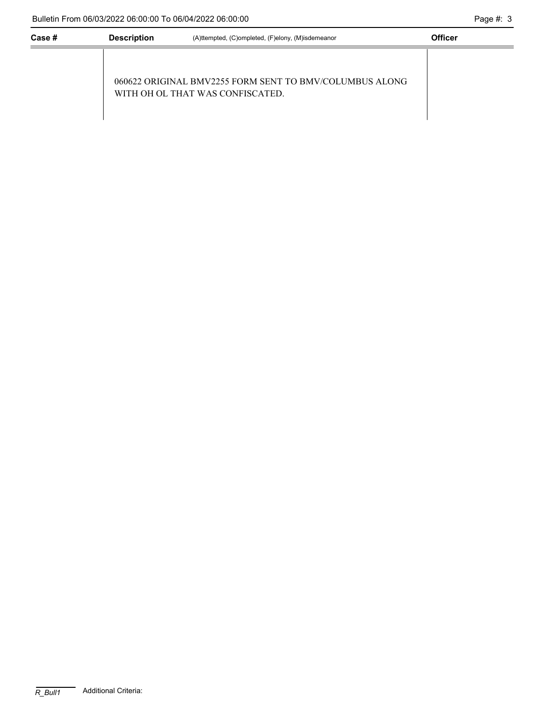J,

| Case # | <b>Description</b> | (A)ttempted, (C)ompleted, (F)elony, (M)isdemeanor                                           | <b>Officer</b> |
|--------|--------------------|---------------------------------------------------------------------------------------------|----------------|
|        |                    | 060622 ORIGINAL BMV2255 FORM SENT TO BMV/COLUMBUS ALONG<br>WITH OH OL THAT WAS CONFISCATED. |                |